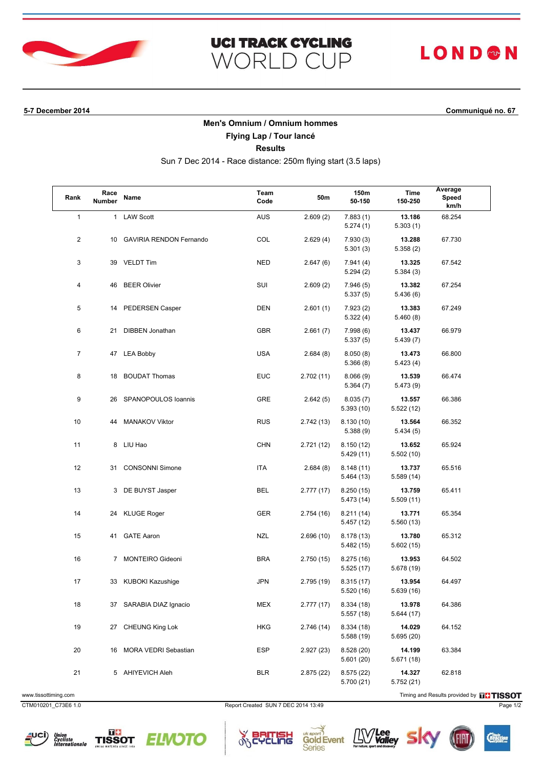

### **UCI TRACK CYCLING** WORLD CUP

# **LOND®N**

**5-7 December 2014 Communiqué no. 67**

### **Men's Omnium / Omnium hommes**

**Flying Lap / Tour lancé**

**Results**

Sun 7 Dec 2014 - Race distance: 250m flying start (3.5 laps)

| Rank           | Race<br>Number | Name                       | Team<br>Code | 50m        | 150m<br>50-150           | Time<br>150-250      | Average<br>Speed<br>km/h |
|----------------|----------------|----------------------------|--------------|------------|--------------------------|----------------------|--------------------------|
| $\mathbf{1}$   |                | 1 LAW Scott                | AUS          | 2.609(2)   | 7.883(1)<br>5.274(1)     | 13.186<br>5.303(1)   | 68.254                   |
| 2              |                | 10 GAVIRIA RENDON Fernando | COL          | 2.629(4)   | 7.930(3)<br>5.301(3)     | 13.288<br>5.358(2)   | 67.730                   |
| 3              |                | 39 VELDT Tim               | <b>NED</b>   | 2.647(6)   | 7.941 (4)<br>5.294(2)    | 13.325<br>5.384(3)   | 67.542                   |
| 4              |                | 46 BEER Olivier            | SUI          | 2.609(2)   | 7.946(5)<br>5.337(5)     | 13.382<br>5.436(6)   | 67.254                   |
| 5              |                | 14 PEDERSEN Casper         | <b>DEN</b>   | 2.601(1)   | 7.923(2)<br>5.322(4)     | 13.383<br>5.460(8)   | 67.249                   |
| 6              |                | 21 DIBBEN Jonathan         | <b>GBR</b>   | 2.661(7)   | 7.998(6)<br>5.337(5)     | 13.437<br>5.439(7)   | 66.979                   |
| $\overline{7}$ |                | 47 LEA Bobby               | <b>USA</b>   | 2.684(8)   | 8.050(8)<br>5.366(8)     | 13.473<br>5.423(4)   | 66.800                   |
| 8              | 18             | <b>BOUDAT Thomas</b>       | <b>EUC</b>   | 2.702 (11) | 8.066(9)<br>5.364(7)     | 13.539<br>5.473(9)   | 66.474                   |
| 9              | 26             | SPANOPOULOS Ioannis        | <b>GRE</b>   | 2.642(5)   | 8.035(7)<br>5.393(10)    | 13.557<br>5.522(12)  | 66.386                   |
| 10             | 44             | <b>MANAKOV Viktor</b>      | <b>RUS</b>   | 2.742(13)  | 8.130(10)<br>5.388(9)    | 13.564<br>5.434(5)   | 66.352                   |
| 11             | 8              | LIU Hao                    | <b>CHN</b>   | 2.721 (12) | 8.150(12)<br>5.429(11)   | 13.652<br>5.502 (10) | 65.924                   |
| 12             | 31             | <b>CONSONNI Simone</b>     | ITA          | 2.684(8)   | 8.148(11)<br>5.464 (13)  | 13.737<br>5.589 (14) | 65.516                   |
| 13             |                | 3 DE BUYST Jasper          | BEL          | 2.777 (17) | 8.250(15)<br>5.473 (14)  | 13.759<br>5.509(11)  | 65.411                   |
| 14             | 24             | KLUGE Roger                | <b>GER</b>   | 2.754 (16) | 8.211(14)<br>5.457 (12)  | 13.771<br>5.560 (13) | 65.354                   |
| 15             |                | 41 GATE Aaron              | <b>NZL</b>   | 2.696(10)  | 8.178 (13)<br>5.482(15)  | 13.780<br>5.602(15)  | 65.312                   |
| 16             |                | 7 MONTEIRO Gideoni         | <b>BRA</b>   | 2.750 (15) | 8.275(16)<br>5.525(17)   | 13.953<br>5.678 (19) | 64.502                   |
| 17             |                | 33 KUBOKI Kazushige        | <b>JPN</b>   | 2.795 (19) | 8.315(17)<br>5.520 (16)  | 13.954<br>5.639 (16) | 64.497                   |
| 18             |                | 37 SARABIA DIAZ Ignacio    | <b>MEX</b>   | 2.777 (17) | 8.334(18)<br>5.557(18)   | 13.978<br>5.644 (17) | 64.386                   |
| 19             |                | 27 CHEUNG King Lok         | <b>HKG</b>   | 2.746 (14) | 8.334 (18)<br>5.588 (19) | 14.029<br>5.695 (20) | 64.152                   |
| 20             |                | 16 MORA VEDRI Sebastian    | <b>ESP</b>   | 2.927(23)  | 8.528(20)<br>5.601(20)   | 14.199<br>5.671 (18) | 63.384                   |
| 21             |                | 5 AHIYEVICH Aleh           | <b>BLR</b>   | 2.875 (22) | 8.575(22)<br>5.700 (21)  | 14.327<br>5.752 (21) | 62.818                   |

www.tissottiming.com **Timing and Results provided by FITISSOT** 

CTM010201\_C73E6 1.0 Report Created SUN 7 DEC 2014 13:49 Page 1/2